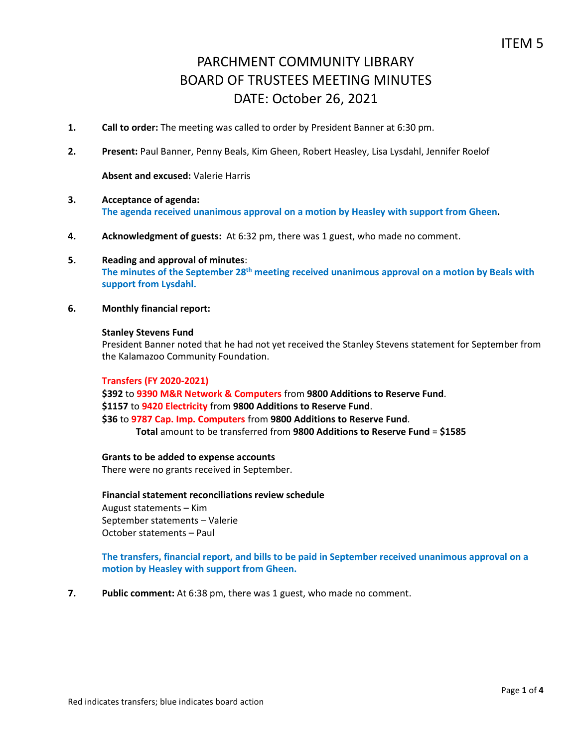- **1. Call to order:** The meeting was called to order by President Banner at 6:30 pm.
- **2. Present:** Paul Banner, Penny Beals, Kim Gheen, Robert Heasley, Lisa Lysdahl, Jennifer Roelof

**Absent and excused:** Valerie Harris

- **3. Acceptance of agenda: The agenda received unanimous approval on a motion by Heasley with support from Gheen.**
- **4. Acknowledgment of guests:** At 6:32 pm, there was 1 guest, who made no comment.
- **5. Reading and approval of minutes**: **The minutes of the September 28th meeting received unanimous approval on a motion by Beals with support from Lysdahl.**
- **6. Monthly financial report:**

#### **Stanley Stevens Fund**

President Banner noted that he had not yet received the Stanley Stevens statement for September from the Kalamazoo Community Foundation.

#### **Transfers (FY 2020-2021)**

**\$392** to **9390 M&R Network & Computers** from **9800 Additions to Reserve Fund**. **\$1157** to **9420 Electricity** from **9800 Additions to Reserve Fund**. **\$36** to **9787 Cap. Imp. Computers** from **9800 Additions to Reserve Fund**. **Total** amount to be transferred from **9800 Additions to Reserve Fund** = **\$1585**

#### **Grants to be added to expense accounts**

There were no grants received in September.

#### **Financial statement reconciliations review schedule** August statements – Kim September statements – Valerie October statements – Paul

#### **The transfers, financial report, and bills to be paid in September received unanimous approval on a motion by Heasley with support from Gheen.**

**7. Public comment:** At 6:38 pm, there was 1 guest, who made no comment.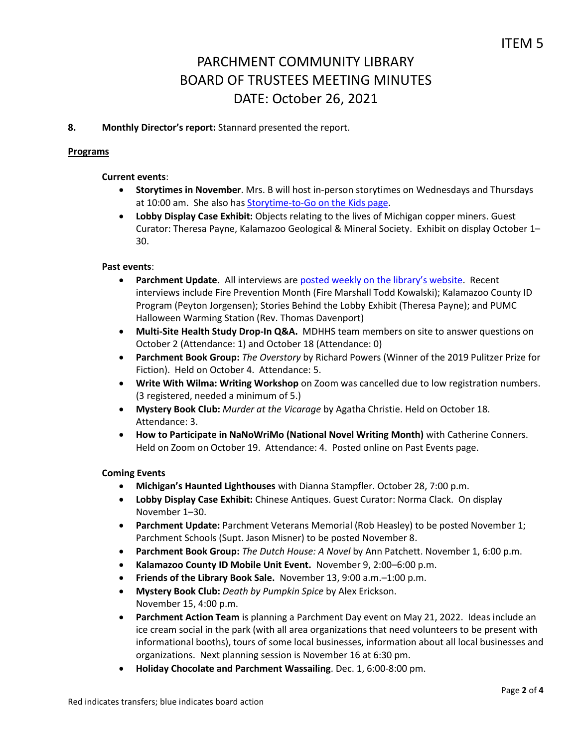**8. Monthly Director's report:** Stannard presented the report.

### **Programs**

#### **Current events**:

- **Storytimes in November**. Mrs. B will host in-person storytimes on Wednesdays and Thursdays at 10:00 am. She also has [Storytime-to-Go on the Kids page.](https://www.parchmentlibrary.org/storytimes-programs)
- **Lobby Display Case Exhibit:** Objects relating to the lives of Michigan copper miners. Guest Curator: Theresa Payne, Kalamazoo Geological & Mineral Society. Exhibit on display October 1– 30.

#### **Past events**:

- **Parchment Update.** All interviews are [posted weekly on the library's website](https://www.parchmentlibrary.org/parchment-update). Recent interviews include Fire Prevention Month (Fire Marshall Todd Kowalski); Kalamazoo County ID Program (Peyton Jorgensen); Stories Behind the Lobby Exhibit (Theresa Payne); and PUMC Halloween Warming Station (Rev. Thomas Davenport)
- **Multi-Site Health Study Drop-In Q&A.** MDHHS team members on site to answer questions on October 2 (Attendance: 1) and October 18 (Attendance: 0)
- **Parchment Book Group:** *The Overstory* by Richard Powers (Winner of the 2019 Pulitzer Prize for Fiction). Held on October 4. Attendance: 5.
- **Write With Wilma: Writing Workshop** on Zoom was cancelled due to low registration numbers. (3 registered, needed a minimum of 5.)
- **Mystery Book Club:** *Murder at the Vicarage* by Agatha Christie. Held on October 18. Attendance: 3.
- **How to Participate in NaNoWriMo (National Novel Writing Month)** with Catherine Conners. Held on Zoom on October 19. Attendance: 4. Posted online on Past Events page.

### **Coming Events**

- **Michigan's Haunted Lighthouses** with Dianna Stampfler. October 28, 7:00 p.m.
- **Lobby Display Case Exhibit:** Chinese Antiques. Guest Curator: Norma Clack. On display November 1–30.
- **Parchment Update:** Parchment Veterans Memorial (Rob Heasley) to be posted November 1; Parchment Schools (Supt. Jason Misner) to be posted November 8.
- **Parchment Book Group:** *The Dutch House: A Novel* by Ann Patchett. November 1, 6:00 p.m.
- **Kalamazoo County ID Mobile Unit Event.** November 9, 2:00–6:00 p.m.
- **Friends of the Library Book Sale.** November 13, 9:00 a.m.–1:00 p.m.
- **Mystery Book Club:** *Death by Pumpkin Spice* by Alex Erickson. November 15, 4:00 p.m.
- **Parchment Action Team** is planning a Parchment Day event on May 21, 2022. Ideas include an ice cream social in the park (with all area organizations that need volunteers to be present with informational booths), tours of some local businesses, information about all local businesses and organizations. Next planning session is November 16 at 6:30 pm.
- **Holiday Chocolate and Parchment Wassailing**. Dec. 1, 6:00-8:00 pm.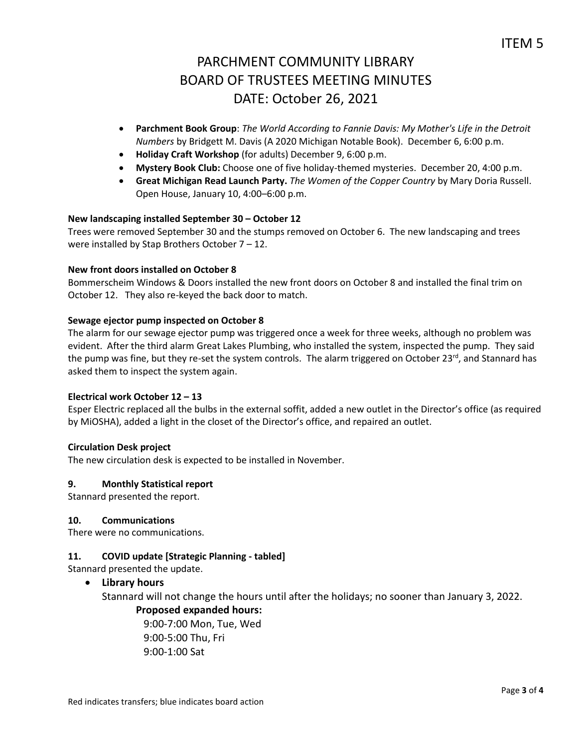- **Parchment Book Group**: *The World According to Fannie Davis: My Mother's Life in the Detroit Numbers* by Bridgett M. Davis (A 2020 Michigan Notable Book). December 6, 6:00 p.m.
- **Holiday Craft Workshop** (for adults) December 9, 6:00 p.m.
- **Mystery Book Club:** Choose one of five holiday-themed mysteries. December 20, 4:00 p.m.
- **Great Michigan Read Launch Party.** *The Women of the Copper Country* by Mary Doria Russell. Open House, January 10, 4:00–6:00 p.m.

### **New landscaping installed September 30 – October 12**

Trees were removed September 30 and the stumps removed on October 6. The new landscaping and trees were installed by Stap Brothers October 7 – 12.

### **New front doors installed on October 8**

Bommerscheim Windows & Doors installed the new front doors on October 8 and installed the final trim on October 12. They also re-keyed the back door to match.

### **Sewage ejector pump inspected on October 8**

The alarm for our sewage ejector pump was triggered once a week for three weeks, although no problem was evident. After the third alarm Great Lakes Plumbing, who installed the system, inspected the pump. They said the pump was fine, but they re-set the system controls. The alarm triggered on October 23<sup>rd</sup>, and Stannard has asked them to inspect the system again.

#### **Electrical work October 12 – 13**

Esper Electric replaced all the bulbs in the external soffit, added a new outlet in the Director's office (as required by MiOSHA), added a light in the closet of the Director's office, and repaired an outlet.

### **Circulation Desk project**

The new circulation desk is expected to be installed in November.

### **9. Monthly Statistical report**

Stannard presented the report.

#### **10. Communications**

There were no communications.

### **11. COVID update [Strategic Planning - tabled]**

Stannard presented the update.

### **Library hours**

Stannard will not change the hours until after the holidays; no sooner than January 3, 2022.

### **Proposed expanded hours:**

 9:00-7:00 Mon, Tue, Wed 9:00-5:00 Thu, Fri 9:00-1:00 Sat